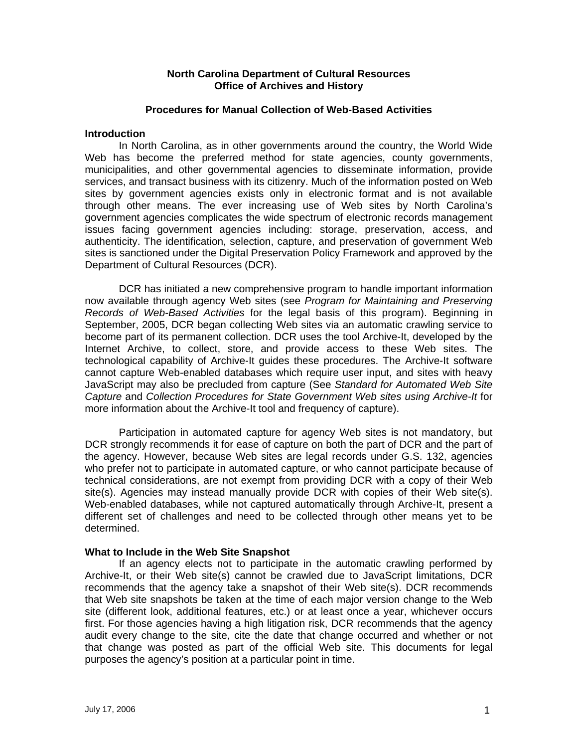## **North Carolina Department of Cultural Resources Office of Archives and History**

## **Procedures for Manual Collection of Web-Based Activities**

#### **Introduction**

 In North Carolina, as in other governments around the country, the World Wide Web has become the preferred method for state agencies, county governments, municipalities, and other governmental agencies to disseminate information, provide services, and transact business with its citizenry. Much of the information posted on Web sites by government agencies exists only in electronic format and is not available through other means. The ever increasing use of Web sites by North Carolina's government agencies complicates the wide spectrum of electronic records management issues facing government agencies including: storage, preservation, access, and authenticity. The identification, selection, capture, and preservation of government Web sites is sanctioned under the Digital Preservation Policy Framework and approved by the Department of Cultural Resources (DCR).

 DCR has initiated a new comprehensive program to handle important information now available through agency Web sites (see *Program for Maintaining and Preserving Records of Web-Based Activities* for the legal basis of this program). Beginning in September, 2005, DCR began collecting Web sites via an automatic crawling service to become part of its permanent collection. DCR uses the tool Archive-It, developed by the Internet Archive, to collect, store, and provide access to these Web sites. The technological capability of Archive-It guides these procedures. The Archive-It software cannot capture Web-enabled databases which require user input, and sites with heavy JavaScript may also be precluded from capture (See *Standard for Automated Web Site Capture* and *Collection Procedures for State Government Web sites using Archive-It* for more information about the Archive-It tool and frequency of capture).

Participation in automated capture for agency Web sites is not mandatory, but DCR strongly recommends it for ease of capture on both the part of DCR and the part of the agency. However, because Web sites are legal records under G.S. 132, agencies who prefer not to participate in automated capture, or who cannot participate because of technical considerations, are not exempt from providing DCR with a copy of their Web site(s). Agencies may instead manually provide DCR with copies of their Web site(s). Web-enabled databases, while not captured automatically through Archive-It, present a different set of challenges and need to be collected through other means yet to be determined.

## **What to Include in the Web Site Snapshot**

If an agency elects not to participate in the automatic crawling performed by Archive-It, or their Web site(s) cannot be crawled due to JavaScript limitations, DCR recommends that the agency take a snapshot of their Web site(s). DCR recommends that Web site snapshots be taken at the time of each major version change to the Web site (different look, additional features, etc.) or at least once a year, whichever occurs first. For those agencies having a high litigation risk, DCR recommends that the agency audit every change to the site, cite the date that change occurred and whether or not that change was posted as part of the official Web site. This documents for legal purposes the agency's position at a particular point in time.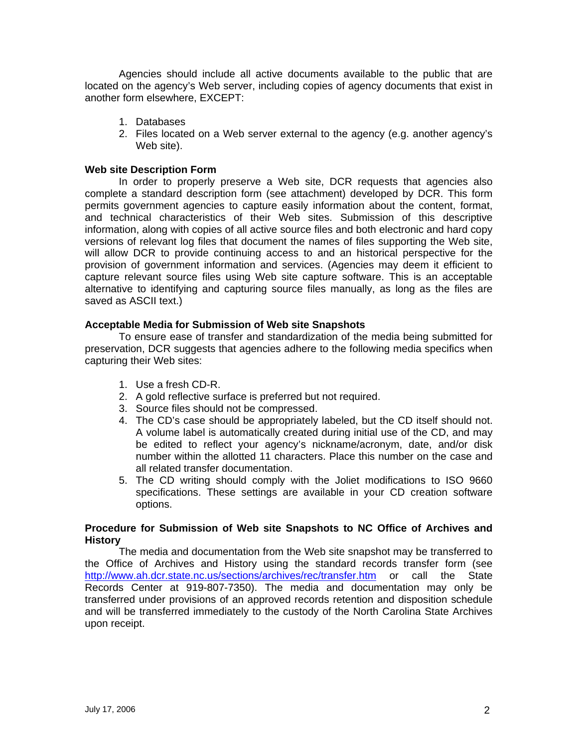Agencies should include all active documents available to the public that are located on the agency's Web server, including copies of agency documents that exist in another form elsewhere, EXCEPT:

- 1. Databases
- 2. Files located on a Web server external to the agency (e.g. another agency's Web site).

# **Web site Description Form**

In order to properly preserve a Web site, DCR requests that agencies also complete a standard description form (see attachment) developed by DCR. This form permits government agencies to capture easily information about the content, format, and technical characteristics of their Web sites. Submission of this descriptive information, along with copies of all active source files and both electronic and hard copy versions of relevant log files that document the names of files supporting the Web site, will allow DCR to provide continuing access to and an historical perspective for the provision of government information and services. (Agencies may deem it efficient to capture relevant source files using Web site capture software. This is an acceptable alternative to identifying and capturing source files manually, as long as the files are saved as ASCII text.)

# **Acceptable Media for Submission of Web site Snapshots**

To ensure ease of transfer and standardization of the media being submitted for preservation, DCR suggests that agencies adhere to the following media specifics when capturing their Web sites:

- 1. Use a fresh CD-R.
- 2. A gold reflective surface is preferred but not required.
- 3. Source files should not be compressed.
- 4. The CD's case should be appropriately labeled, but the CD itself should not. A volume label is automatically created during initial use of the CD, and may be edited to reflect your agency's nickname/acronym, date, and/or disk number within the allotted 11 characters. Place this number on the case and all related transfer documentation.
- 5. The CD writing should comply with the Joliet modifications to ISO 9660 specifications. These settings are available in your CD creation software options.

## **Procedure for Submission of Web site Snapshots to NC Office of Archives and History**

The media and documentation from the Web site snapshot may be transferred to the Office of Archives and History using the standard records transfer form (see http://www.ah.dcr.state.nc.us/sections/archives/rec/transfer.htm or call the State Records Center at 919-807-7350). The media and documentation may only be transferred under provisions of an approved records retention and disposition schedule and will be transferred immediately to the custody of the North Carolina State Archives upon receipt.